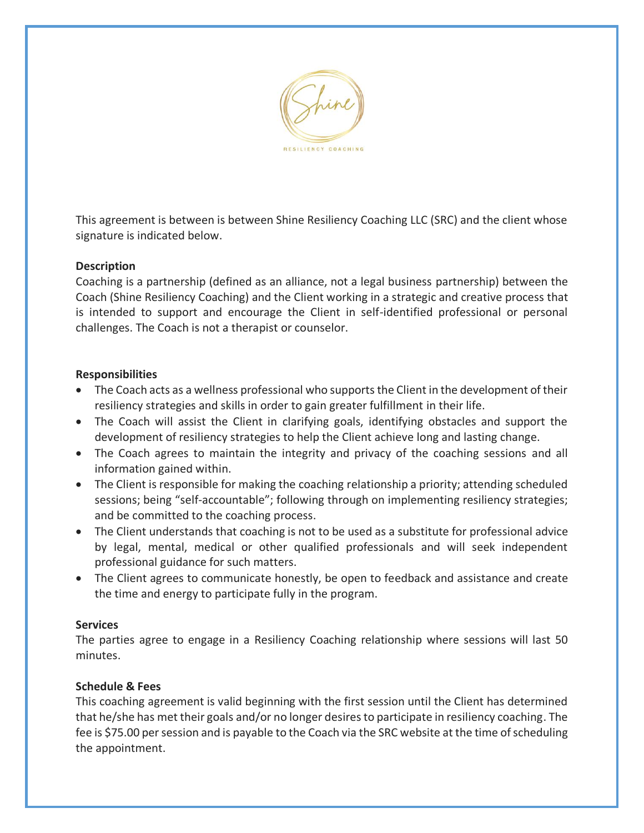

This agreement is between is between Shine Resiliency Coaching LLC (SRC) and the client whose signature is indicated below.

## **Description**

Coaching is a partnership (defined as an alliance, not a legal business partnership) between the Coach (Shine Resiliency Coaching) and the Client working in a strategic and creative process that is intended to support and encourage the Client in self-identified professional or personal challenges. The Coach is not a therapist or counselor.

## **Responsibilities**

- The Coach acts as a wellness professional who supports the Client in the development of their resiliency strategies and skills in order to gain greater fulfillment in their life.
- The Coach will assist the Client in clarifying goals, identifying obstacles and support the development of resiliency strategies to help the Client achieve long and lasting change.
- The Coach agrees to maintain the integrity and privacy of the coaching sessions and all information gained within.
- The Client is responsible for making the coaching relationship a priority; attending scheduled sessions; being "self-accountable"; following through on implementing resiliency strategies; and be committed to the coaching process.
- The Client understands that coaching is not to be used as a substitute for professional advice by legal, mental, medical or other qualified professionals and will seek independent professional guidance for such matters.
- The Client agrees to communicate honestly, be open to feedback and assistance and create the time and energy to participate fully in the program.

## **Services**

The parties agree to engage in a Resiliency Coaching relationship where sessions will last 50 minutes.

# **Schedule & Fees**

This coaching agreement is valid beginning with the first session until the Client has determined that he/she has met their goals and/or no longer desires to participate in resiliency coaching. The fee is \$75.00 per session and is payable to the Coach via the SRC website at the time of scheduling the appointment.